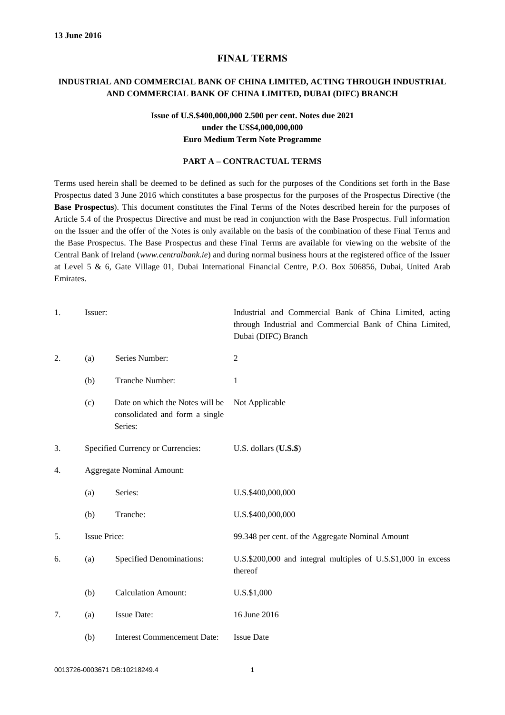### **FINAL TERMS**

### **INDUSTRIAL AND COMMERCIAL BANK OF CHINA LIMITED, ACTING THROUGH INDUSTRIAL AND COMMERCIAL BANK OF CHINA LIMITED, DUBAI (DIFC) BRANCH**

## **Issue of U.S.\$400,000,000 2.500 per cent. Notes due 2021 under the US\$4,000,000,000 Euro Medium Term Note Programme**

### **PART A – CONTRACTUAL TERMS**

Terms used herein shall be deemed to be defined as such for the purposes of the Conditions set forth in the Base Prospectus dated 3 June 2016 which constitutes a base prospectus for the purposes of the Prospectus Directive (the **Base Prospectus**). This document constitutes the Final Terms of the Notes described herein for the purposes of Article 5.4 of the Prospectus Directive and must be read in conjunction with the Base Prospectus. Full information on the Issuer and the offer of the Notes is only available on the basis of the combination of these Final Terms and the Base Prospectus. The Base Prospectus and these Final Terms are available for viewing on the website [of](file://///Dbsiinf04/Home/Dubai/OSUNJ/My%20Documents/Dynasty/Executed%20Documents/OAPM/Working%20Files/WF/of) the Central Bank of Ireland (*www.centralbank.ie*) and during normal business hours at the registered office of the Issuer at Level 5 & 6, Gate Village 01, Dubai International Financial Centre, P.O. Box 506856, Dubai, United Arab Emirates.

| 1. | Issuer:                          |                                                                              | Industrial and Commercial Bank of China Limited, acting<br>through Industrial and Commercial Bank of China Limited,<br>Dubai (DIFC) Branch |
|----|----------------------------------|------------------------------------------------------------------------------|--------------------------------------------------------------------------------------------------------------------------------------------|
| 2. | (a)                              | Series Number:                                                               | $\overline{2}$                                                                                                                             |
|    | (b)                              | Tranche Number:                                                              | 1                                                                                                                                          |
|    | (c)                              | Date on which the Notes will be<br>consolidated and form a single<br>Series: | Not Applicable                                                                                                                             |
| 3. |                                  | Specified Currency or Currencies:                                            | U.S. dollars $($ U.S. $$)$                                                                                                                 |
| 4. | <b>Aggregate Nominal Amount:</b> |                                                                              |                                                                                                                                            |
|    | (a)                              | Series:                                                                      | U.S.\$400,000,000                                                                                                                          |
|    | (b)                              | Tranche:                                                                     | U.S.\$400,000,000                                                                                                                          |
| 5. | <b>Issue Price:</b>              |                                                                              | 99.348 per cent. of the Aggregate Nominal Amount                                                                                           |
| 6. | (a)                              | <b>Specified Denominations:</b>                                              | U.S.\$200,000 and integral multiples of U.S.\$1,000 in excess<br>thereof                                                                   |
|    | (b)                              | <b>Calculation Amount:</b>                                                   | U.S.\$1,000                                                                                                                                |
| 7. | (a)                              | <b>Issue Date:</b>                                                           | 16 June 2016                                                                                                                               |
|    | (b)                              | <b>Interest Commencement Date:</b>                                           | <b>Issue Date</b>                                                                                                                          |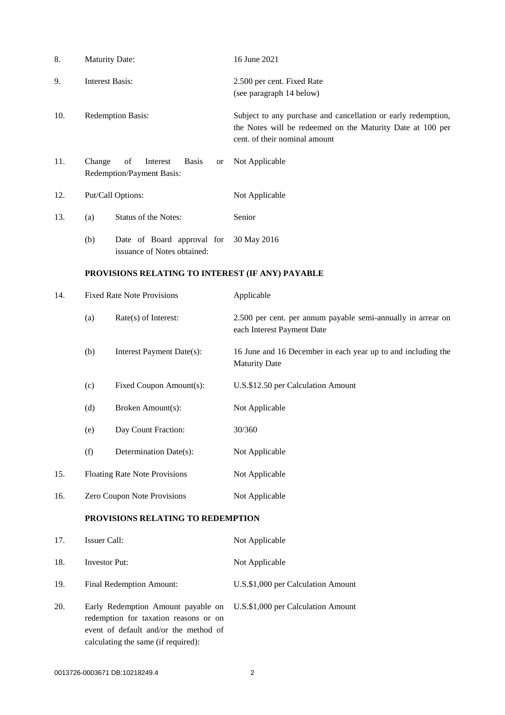| 8.  | <b>Maturity Date:</b>                                                                                                                                       |                                                           | 16 June 2021                                                                                                                                                 |  |
|-----|-------------------------------------------------------------------------------------------------------------------------------------------------------------|-----------------------------------------------------------|--------------------------------------------------------------------------------------------------------------------------------------------------------------|--|
| 9.  | <b>Interest Basis:</b>                                                                                                                                      |                                                           | 2.500 per cent. Fixed Rate<br>(see paragraph 14 below)                                                                                                       |  |
| 10. | <b>Redemption Basis:</b>                                                                                                                                    |                                                           | Subject to any purchase and cancellation or early redemption,<br>the Notes will be redeemed on the Maturity Date at 100 per<br>cent. of their nominal amount |  |
| 11. | Change<br>of<br>Interest<br><b>Basis</b><br>or<br>Redemption/Payment Basis:                                                                                 |                                                           | Not Applicable                                                                                                                                               |  |
| 12. | Put/Call Options:                                                                                                                                           |                                                           | Not Applicable                                                                                                                                               |  |
| 13. | (a)                                                                                                                                                         | Status of the Notes:                                      | Senior                                                                                                                                                       |  |
|     | (b)                                                                                                                                                         | Date of Board approval for<br>issuance of Notes obtained: | 30 May 2016                                                                                                                                                  |  |
|     | PROVISIONS RELATING TO INTEREST (IF ANY) PAYABLE                                                                                                            |                                                           |                                                                                                                                                              |  |
| 14. | <b>Fixed Rate Note Provisions</b>                                                                                                                           |                                                           | Applicable                                                                                                                                                   |  |
|     | (a)                                                                                                                                                         | Rate(s) of Interest:                                      | 2.500 per cent. per annum payable semi-annually in arrear on<br>each Interest Payment Date                                                                   |  |
|     | (b)                                                                                                                                                         | Interest Payment Date(s):                                 | 16 June and 16 December in each year up to and including the<br><b>Maturity Date</b>                                                                         |  |
|     | (c)                                                                                                                                                         | Fixed Coupon Amount(s):                                   | U.S.\$12.50 per Calculation Amount                                                                                                                           |  |
|     | (d)                                                                                                                                                         | Broken Amount(s):                                         | Not Applicable                                                                                                                                               |  |
|     | (e)                                                                                                                                                         | Day Count Fraction:                                       | 30/360                                                                                                                                                       |  |
|     | (f)                                                                                                                                                         | Determination Date(s):                                    | Not Applicable                                                                                                                                               |  |
| 15. | <b>Floating Rate Note Provisions</b>                                                                                                                        |                                                           | Not Applicable                                                                                                                                               |  |
| 16. | Zero Coupon Note Provisions                                                                                                                                 |                                                           | Not Applicable                                                                                                                                               |  |
|     | PROVISIONS RELATING TO REDEMPTION                                                                                                                           |                                                           |                                                                                                                                                              |  |
| 17. | Issuer Call:                                                                                                                                                |                                                           | Not Applicable                                                                                                                                               |  |
| 18. | Investor Put:                                                                                                                                               |                                                           | Not Applicable                                                                                                                                               |  |
| 19. | Final Redemption Amount:                                                                                                                                    |                                                           | U.S.\$1,000 per Calculation Amount                                                                                                                           |  |
| 20. | Early Redemption Amount payable on<br>redemption for taxation reasons or on<br>event of default and/or the method of<br>calculating the same (if required): |                                                           | U.S.\$1,000 per Calculation Amount                                                                                                                           |  |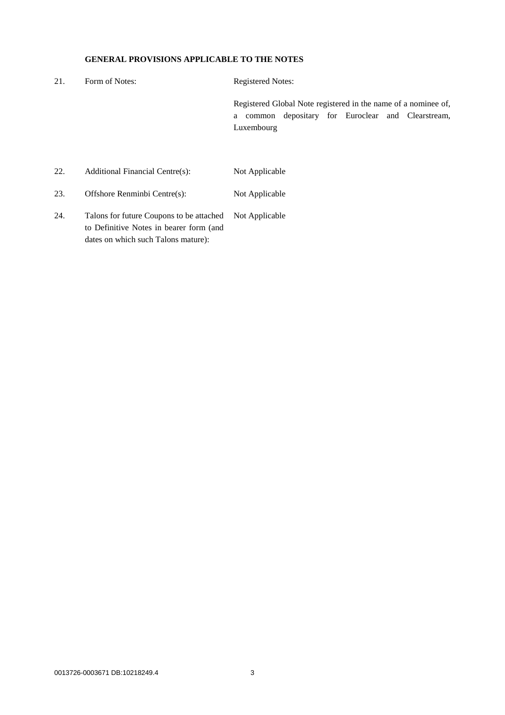## **GENERAL PROVISIONS APPLICABLE TO THE NOTES**

| 21. | Form of Notes:                  | <b>Registered Notes:</b>                                                                                                              |
|-----|---------------------------------|---------------------------------------------------------------------------------------------------------------------------------------|
|     |                                 | Registered Global Note registered in the name of a nominee of,<br>common depositary for Euroclear and Clearstream,<br>a<br>Luxembourg |
| 22. | Additional Financial Centre(s): | Not Applicable                                                                                                                        |
| 23. | Offshore Renminbi Centre(s):    | Not Applicable                                                                                                                        |

24. Talons for future Coupons to be attached Not Applicableto Definitive Notes in bearer form (and dates on which such Talons mature):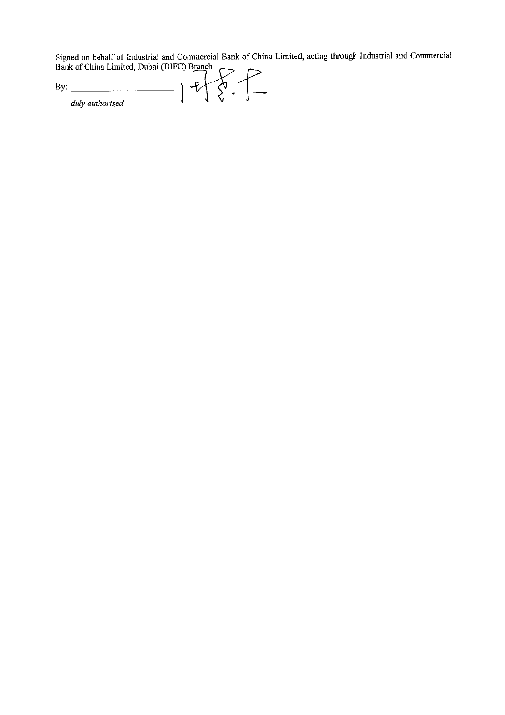Signed on behalf of Industrial and Commercial Bank of China Limited, acting through Industrial and Commercial Bank of China Limited, Dubai (DIFC) Branch

 $5 - 55$ By:  $\frac{1}{4ub \cdot \text{cutlorised}}$ duly authorised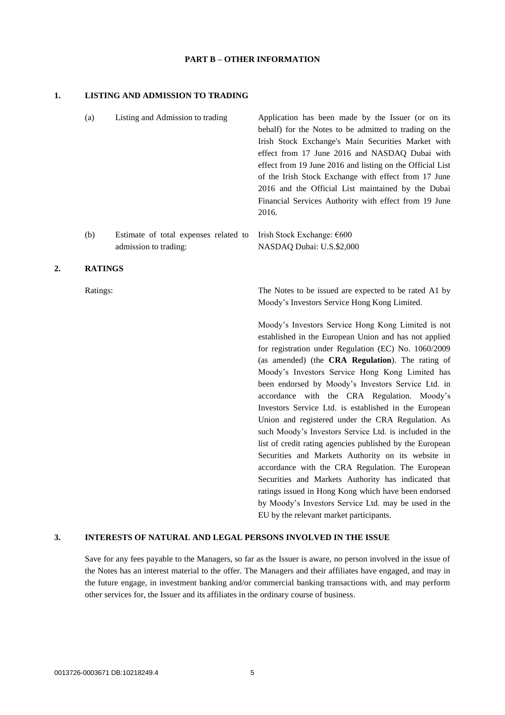### **PART B – OTHER INFORMATION**

#### **1. LISTING AND ADMISSION TO TRADING**

admission to trading:

| (a) | Listing and Admission to trading                                  | Application has been made by the Issuer (or on its        |
|-----|-------------------------------------------------------------------|-----------------------------------------------------------|
|     |                                                                   | behalf) for the Notes to be admitted to trading on the    |
|     |                                                                   | Irish Stock Exchange's Main Securities Market with        |
|     |                                                                   | effect from 17 June 2016 and NASDAQ Dubai with            |
|     |                                                                   | effect from 19 June 2016 and listing on the Official List |
|     |                                                                   | of the Irish Stock Exchange with effect from 17 June      |
|     |                                                                   | 2016 and the Official List maintained by the Dubai        |
|     |                                                                   | Financial Services Authority with effect from 19 June     |
|     |                                                                   | 2016.                                                     |
|     |                                                                   |                                                           |
| (b) | Estimate of total expenses related to Irish Stock Exchange: $600$ |                                                           |

NASDAQ Dubai: U.S.\$2,000

#### **2. RATINGS**

Ratings: The Notes to be issued are expected to be rated A1 by Moody's Investors Service Hong Kong Limited.

> Moody's Investors Service Hong Kong Limited is not established in the European Union and has not applied for registration under Regulation (EC) No. 1060/2009 (as amended) (the **CRA Regulation**). The rating of Moody's Investors Service Hong Kong Limited has been endorsed by Moody's Investors Service Ltd. in accordance with the CRA Regulation. Moody's Investors Service Ltd. is established in the European Union and registered under the CRA Regulation. As such Moody's Investors Service Ltd. is included in the list of credit rating agencies published by the European Securities and Markets Authority on its website in accordance with the CRA Regulation. The European Securities and Markets Authority has indicated that ratings issued in Hong Kong which have been endorsed by Moody's Investors Service Ltd. may be used in the EU by the relevant market participants.

### **3. INTERESTS OF NATURAL AND LEGAL PERSONS INVOLVED IN THE ISSUE**

Save for any fees payable to the Managers, so far as the Issuer is aware, no person involved in the issue of the Notes has an interest material to the offer. The Managers and their affiliates have engaged, and may in the future engage, in investment banking and/or commercial banking transactions with, and may perform other services for, the Issuer and its affiliates in the ordinary course of business.